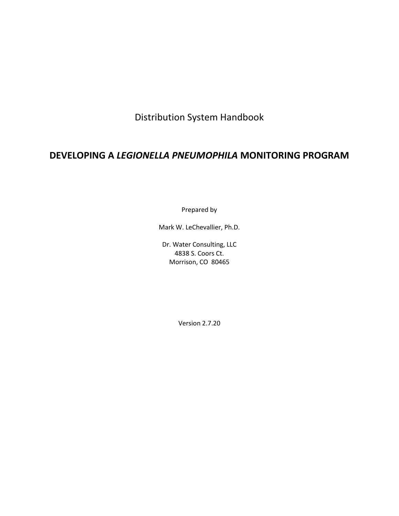Distribution System Handbook

# **DEVELOPING A** *LEGIONELLA PNEUMOPHILA* **MONITORING PROGRAM**

Prepared by

Mark W. LeChevallier, Ph.D.

Dr. Water Consulting, LLC 4838 S. Coors Ct. Morrison, CO 80465

Version 2.7.20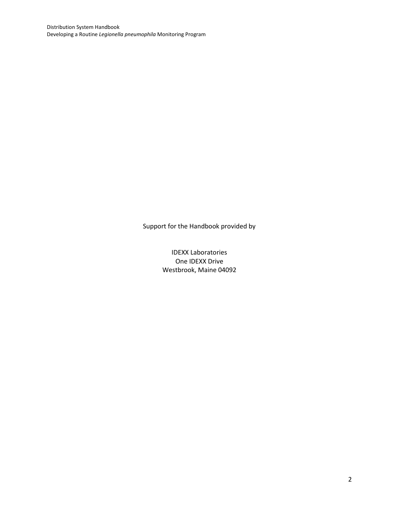Support for the Handbook provided by

IDEXX Laboratories One IDEXX Drive Westbrook, Maine 04092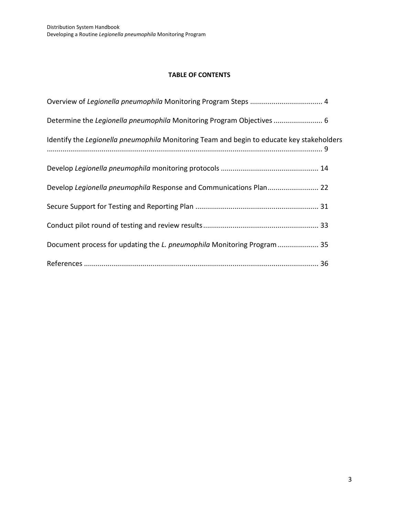### **TABLE OF CONTENTS**

| Determine the Legionella pneumophila Monitoring Program Objectives  6                     |
|-------------------------------------------------------------------------------------------|
| Identify the Legionella pneumophila Monitoring Team and begin to educate key stakeholders |
|                                                                                           |
|                                                                                           |
|                                                                                           |
|                                                                                           |
| Document process for updating the L. pneumophila Monitoring Program 35                    |
|                                                                                           |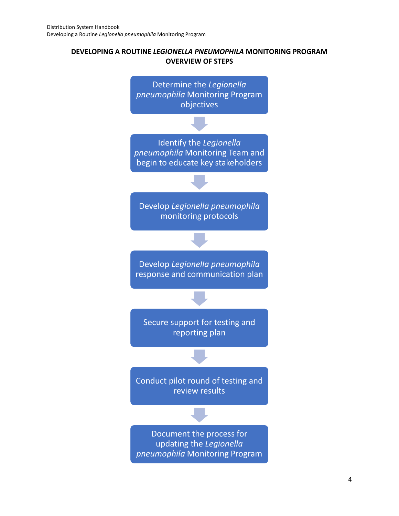## **DEVELOPING A ROUTINE** *LEGIONELLA PNEUMOPHILA* **MONITORING PROGRAM OVERVIEW OF STEPS**

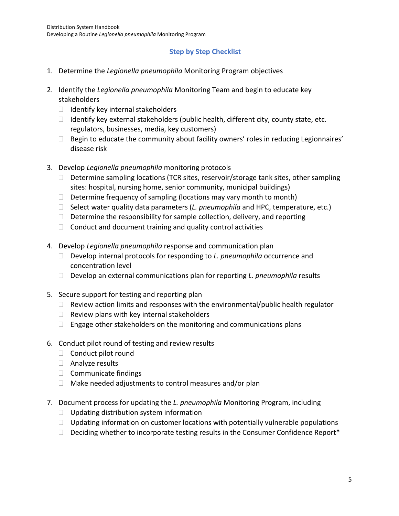## **Step by Step Checklist**

- 1. Determine the *Legionella pneumophila* Monitoring Program objectives
- 2. Identify the *Legionella pneumophila* Monitoring Team and begin to educate key stakeholders
	- $\Box$  Identify key internal stakeholders
	- $\Box$  Identify key external stakeholders (public health, different city, county state, etc. regulators, businesses, media, key customers)
	- $\Box$  Begin to educate the community about facility owners' roles in reducing Legionnaires' disease risk
- 3. Develop *Legionella pneumophila* monitoring protocols
	- $\Box$  Determine sampling locations (TCR sites, reservoir/storage tank sites, other sampling sites: hospital, nursing home, senior community, municipal buildings)
	- $\Box$  Determine frequency of sampling (locations may vary month to month)
	- □ Select water quality data parameters (*L. pneumophila* and HPC, temperature, etc.)
	- $\Box$  Determine the responsibility for sample collection, delivery, and reporting
	- $\Box$  Conduct and document training and quality control activities
- 4. Develop *Legionella pneumophila* response and communication plan
	- Develop internal protocols for responding to *L. pneumophila* occurrence and concentration level
	- □ Develop an external communications plan for reporting *L. pneumophila* results
- 5. Secure support for testing and reporting plan
	- $\Box$  Review action limits and responses with the environmental/public health regulator
	- $\Box$  Review plans with key internal stakeholders
	- $\Box$  Engage other stakeholders on the monitoring and communications plans
- 6. Conduct pilot round of testing and review results
	- $\Box$  Conduct pilot round
	- □ Analyze results
	- $\Box$  Communicate findings
	- $\Box$  Make needed adjustments to control measures and/or plan
- 7. Document process for updating the *L. pneumophila* Monitoring Program, including
	- $\Box$  Updating distribution system information
	- $\Box$  Updating information on customer locations with potentially vulnerable populations
	- $\Box$  Deciding whether to incorporate testing results in the Consumer Confidence Report\*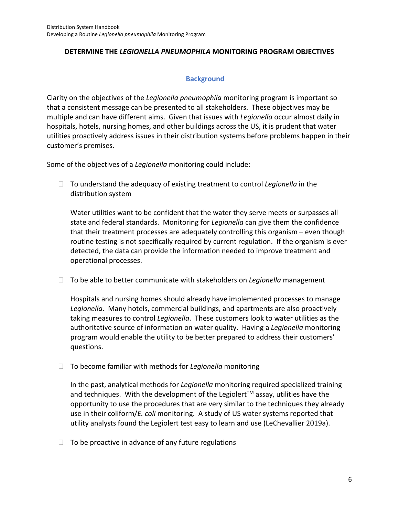### **DETERMINE THE** *LEGIONELLA PNEUMOPHILA* **MONITORING PROGRAM OBJECTIVES**

### **Background**

Clarity on the objectives of the *Legionella pneumophila* monitoring program is important so that a consistent message can be presented to all stakeholders. These objectives may be multiple and can have different aims. Given that issues with *Legionella* occur almost daily in hospitals, hotels, nursing homes, and other buildings across the US, it is prudent that water utilities proactively address issues in their distribution systems before problems happen in their customer's premises.

Some of the objectives of a *Legionella* monitoring could include:

 To understand the adequacy of existing treatment to control *Legionella* in the distribution system

Water utilities want to be confident that the water they serve meets or surpasses all state and federal standards. Monitoring for *Legionella* can give them the confidence that their treatment processes are adequately controlling this organism – even though routine testing is not specifically required by current regulation. If the organism is ever detected, the data can provide the information needed to improve treatment and operational processes.

To be able to better communicate with stakeholders on *Legionella* management

Hospitals and nursing homes should already have implemented processes to manage *Legionella*. Many hotels, commercial buildings, and apartments are also proactively taking measures to control *Legionella*. These customers look to water utilities as the authoritative source of information on water quality. Having a *Legionella* monitoring program would enable the utility to be better prepared to address their customers' questions.

□ To become familiar with methods for *Legionella* monitoring

In the past, analytical methods for *Legionella* monitoring required specialized training and techniques. With the development of the Legiolert<sup>TM</sup> assay, utilities have the opportunity to use the procedures that are very similar to the techniques they already use in their coliform/*E. coli* monitoring. A study of US water systems reported that utility analysts found the Legiolert test easy to learn and use (LeChevallier 2019a).

 $\Box$  To be proactive in advance of any future regulations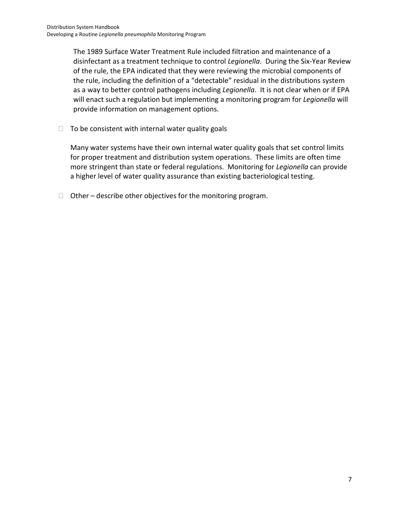The 1989 Surface Water Treatment Rule included filtration and maintenance of a disinfectant as a treatment technique to control *Legionella*. During the Six-Year Review of the rule, the EPA indicated that they were reviewing the microbial components of the rule, including the definition of a "detectable" residual in the distributions system as a way to better control pathogens including *Legionella*. It is not clear when or if EPA will enact such a regulation but implementing a monitoring program for *Legionella* will provide information on management options.

 $\Box$  To be consistent with internal water quality goals

Many water systems have their own internal water quality goals that set control limits for proper treatment and distribution system operations. These limits are often time more stringent than state or federal regulations. Monitoring for *Legionella* can provide a higher level of water quality assurance than existing bacteriological testing.

 $\Box$  Other – describe other objectives for the monitoring program.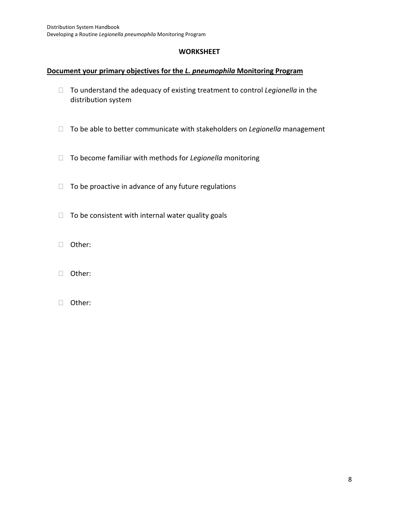### **WORKSHEET**

### **Document your primary objectives for the** *L. pneumophila* **Monitoring Program**

- To understand the adequacy of existing treatment to control *Legionella* in the distribution system
- To be able to better communicate with stakeholders on *Legionella* management
- To become familiar with methods for *Legionella* monitoring
- $\Box$  To be proactive in advance of any future regulations
- $\Box$  To be consistent with internal water quality goals
- Other:
- Other:
- Other: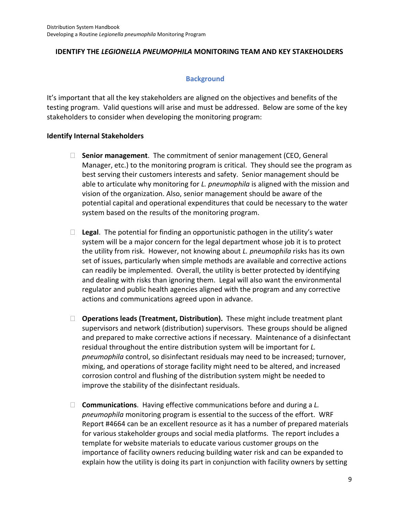### **IDENTIFY THE** *LEGIONELLA PNEUMOPHILA* **MONITORING TEAM AND KEY STAKEHOLDERS**

### **Background**

It's important that all the key stakeholders are aligned on the objectives and benefits of the testing program. Valid questions will arise and must be addressed. Below are some of the key stakeholders to consider when developing the monitoring program:

### **Identify Internal Stakeholders**

- **Senior management**. The commitment of senior management (CEO, General Manager, etc.) to the monitoring program is critical. They should see the program as best serving their customers interests and safety. Senior management should be able to articulate why monitoring for *L. pneumophila* is aligned with the mission and vision of the organization. Also, senior management should be aware of the potential capital and operational expenditures that could be necessary to the water system based on the results of the monitoring program.
- $\Box$  **Legal.** The potential for finding an opportunistic pathogen in the utility's water system will be a major concern for the legal department whose job it is to protect the utility from risk. However, not knowing about *L. pneumophila* risks has its own set of issues, particularly when simple methods are available and corrective actions can readily be implemented. Overall, the utility is better protected by identifying and dealing with risks than ignoring them. Legal will also want the environmental regulator and public health agencies aligned with the program and any corrective actions and communications agreed upon in advance.
- **Operations leads (Treatment, Distribution).** These might include treatment plant supervisors and network (distribution) supervisors. These groups should be aligned and prepared to make corrective actions if necessary. Maintenance of a disinfectant residual throughout the entire distribution system will be important for *L. pneumophila* control, so disinfectant residuals may need to be increased; turnover, mixing, and operations of storage facility might need to be altered, and increased corrosion control and flushing of the distribution system might be needed to improve the stability of the disinfectant residuals.
- **Communications**. Having effective communications before and during a *L. pneumophila* monitoring program is essential to the success of the effort. WRF Report #4664 can be an excellent resource as it has a number of prepared materials for various stakeholder groups and social media platforms. The report includes a template for website materials to educate various customer groups on the importance of facility owners reducing building water risk and can be expanded to explain how the utility is doing its part in conjunction with facility owners by setting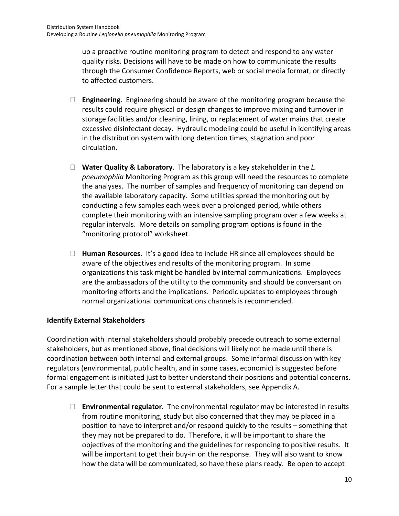up a proactive routine monitoring program to detect and respond to any water quality risks. Decisions will have to be made on how to communicate the results through the Consumer Confidence Reports, web or social media format, or directly to affected customers.

- **Engineering**. Engineering should be aware of the monitoring program because the results could require physical or design changes to improve mixing and turnover in storage facilities and/or cleaning, lining, or replacement of water mains that create excessive disinfectant decay. Hydraulic modeling could be useful in identifying areas in the distribution system with long detention times, stagnation and poor circulation.
- **Water Quality & Laboratory**. The laboratory is a key stakeholder in the *L. pneumophila* Monitoring Program as this group will need the resources to complete the analyses. The number of samples and frequency of monitoring can depend on the available laboratory capacity. Some utilities spread the monitoring out by conducting a few samples each week over a prolonged period, while others complete their monitoring with an intensive sampling program over a few weeks at regular intervals. More details on sampling program options is found in the "monitoring protocol" worksheet.
- **Human Resources**. It's a good idea to include HR since all employees should be aware of the objectives and results of the monitoring program. In some organizations this task might be handled by internal communications. Employees are the ambassadors of the utility to the community and should be conversant on monitoring efforts and the implications. Periodic updates to employees through normal organizational communications channels is recommended.

## **Identify External Stakeholders**

Coordination with internal stakeholders should probably precede outreach to some external stakeholders, but as mentioned above, final decisions will likely not be made until there is coordination between both internal and external groups. Some informal discussion with key regulators (environmental, public health, and in some cases, economic) is suggested before formal engagement is initiated just to better understand their positions and potential concerns. For a sample letter that could be sent to external stakeholders, see Appendix A.

 **Environmental regulator**. The environmental regulator may be interested in results from routine monitoring, study but also concerned that they may be placed in a position to have to interpret and/or respond quickly to the results – something that they may not be prepared to do. Therefore, it will be important to share the objectives of the monitoring and the guidelines for responding to positive results. It will be important to get their buy-in on the response. They will also want to know how the data will be communicated, so have these plans ready. Be open to accept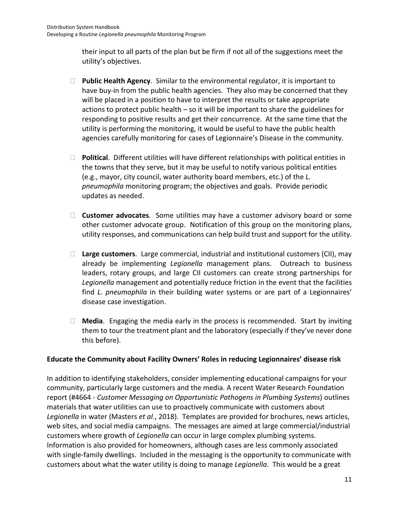their input to all parts of the plan but be firm if not all of the suggestions meet the utility's objectives.

- **Public Health Agency**. Similar to the environmental regulator, it is important to have buy-in from the public health agencies. They also may be concerned that they will be placed in a position to have to interpret the results or take appropriate actions to protect public health – so it will be important to share the guidelines for responding to positive results and get their concurrence. At the same time that the utility is performing the monitoring, it would be useful to have the public health agencies carefully monitoring for cases of Legionnaire's Disease in the community.
- **Political**. Different utilities will have different relationships with political entities in the towns that they serve, but it may be useful to notify various political entities (e.g., mayor, city council, water authority board members, etc.) of the *L. pneumophila* monitoring program; the objectives and goals. Provide periodic updates as needed.
- **Customer advocates**. Some utilities may have a customer advisory board or some other customer advocate group. Notification of this group on the monitoring plans, utility responses, and communications can help build trust and support for the utility.
- **Large customers**. Large commercial, industrial and institutional customers (CII), may already be implementing *Legionella* management plans. Outreach to business leaders, rotary groups, and large CII customers can create strong partnerships for *Legionella* management and potentially reduce friction in the event that the facilities find *L. pneumophila* in their building water systems or are part of a Legionnaires' disease case investigation.
- **Media**. Engaging the media early in the process is recommended. Start by inviting them to tour the treatment plant and the laboratory (especially if they've never done this before).

## **Educate the Community about Facility Owners' Roles in reducing Legionnaires' disease risk**

In addition to identifying stakeholders, consider implementing educational campaigns for your community, particularly large customers and the media. A recent Water Research Foundation report (#4664 - *Customer Messaging on Opportunistic Pathogens in Plumbing Systems*) outlines materials that water utilities can use to proactively communicate with customers about *Legionella* in water (Masters *et al*., 2018). Templates are provided for brochures, news articles, web sites, and social media campaigns. The messages are aimed at large commercial/industrial customers where growth of *Legionella* can occur in large complex plumbing systems. Information is also provided for homeowners, although cases are less commonly associated with single-family dwellings. Included in the messaging is the opportunity to communicate with customers about what the water utility is doing to manage *Legionella*. This would be a great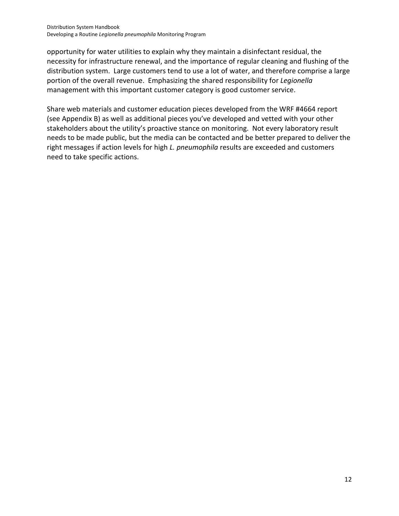opportunity for water utilities to explain why they maintain a disinfectant residual, the necessity for infrastructure renewal, and the importance of regular cleaning and flushing of the distribution system. Large customers tend to use a lot of water, and therefore comprise a large portion of the overall revenue. Emphasizing the shared responsibility for *Legionella* management with this important customer category is good customer service.

Share web materials and customer education pieces developed from the WRF #4664 report (see Appendix B) as well as additional pieces you've developed and vetted with your other stakeholders about the utility's proactive stance on monitoring. Not every laboratory result needs to be made public, but the media can be contacted and be better prepared to deliver the right messages if action levels for high *L. pneumophila* results are exceeded and customers need to take specific actions.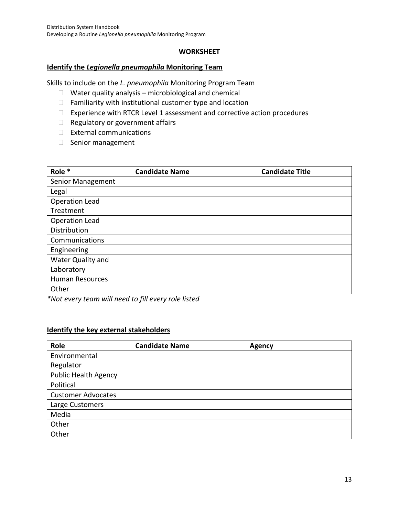### **WORKSHEET**

#### **Identify the** *Legionella pneumophila* **Monitoring Team**

Skills to include on the *L. pneumophila* Monitoring Program Team

- $\Box$  Water quality analysis microbiological and chemical
- $\Box$  Familiarity with institutional customer type and location
- $\Box$  Experience with RTCR Level 1 assessment and corrective action procedures
- $\Box$  Regulatory or government affairs
- External communications
- $\Box$  Senior management

| Role *                 | <b>Candidate Name</b> | <b>Candidate Title</b> |
|------------------------|-----------------------|------------------------|
| Senior Management      |                       |                        |
| Legal                  |                       |                        |
| Operation Lead         |                       |                        |
| Treatment              |                       |                        |
| Operation Lead         |                       |                        |
| Distribution           |                       |                        |
| Communications         |                       |                        |
| Engineering            |                       |                        |
| Water Quality and      |                       |                        |
| Laboratory             |                       |                        |
| <b>Human Resources</b> |                       |                        |
| Other                  |                       |                        |

*\*Not every team will need to fill every role listed*

### **Identify the key external stakeholders**

| Role                        | <b>Candidate Name</b> | <b>Agency</b> |
|-----------------------------|-----------------------|---------------|
| Environmental               |                       |               |
| Regulator                   |                       |               |
| <b>Public Health Agency</b> |                       |               |
| Political                   |                       |               |
| <b>Customer Advocates</b>   |                       |               |
| Large Customers             |                       |               |
| Media                       |                       |               |
| Other                       |                       |               |
| Other                       |                       |               |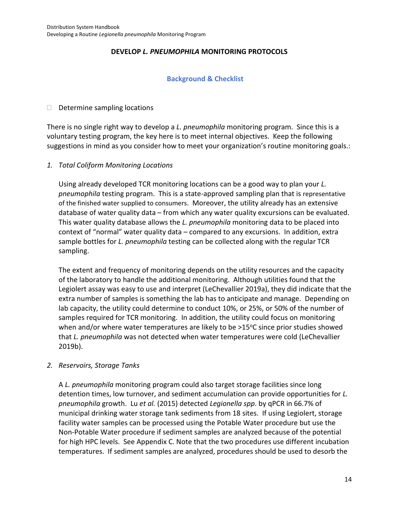## **DEVELOP** *L. PNEUMOPHILA* **MONITORING PROTOCOLS**

### **Background & Checklist**

### $\Box$  Determine sampling locations

There is no single right way to develop a *L. pneumophila* monitoring program. Since this is a voluntary testing program, the key here is to meet internal objectives. Keep the following suggestions in mind as you consider how to meet your organization's routine monitoring goals.:

### *1. Total Coliform Monitoring Locations*

Using already developed TCR monitoring locations can be a good way to plan your *L. pneumophila* testing program. This is a state-approved sampling plan that is representative of the finished water supplied to consumers. Moreover, the utility already has an extensive database of water quality data – from which any water quality excursions can be evaluated. This water quality database allows the *L. pneumophila* monitoring data to be placed into context of "normal" water quality data – compared to any excursions. In addition, extra sample bottles for *L. pneumophila* testing can be collected along with the regular TCR sampling.

The extent and frequency of monitoring depends on the utility resources and the capacity of the laboratory to handle the additional monitoring. Although utilities found that the Legiolert assay was easy to use and interpret (LeChevallier 2019a), they did indicate that the extra number of samples is something the lab has to anticipate and manage. Depending on lab capacity, the utility could determine to conduct 10%, or 25%, or 50% of the number of samples required for TCR monitoring. In addition, the utility could focus on monitoring when and/or where water temperatures are likely to be  $>15^{\circ}$ C since prior studies showed that *L. pneumophila* was not detected when water temperatures were cold (LeChevallier 2019b).

### *2. Reservoirs, Storage Tanks*

A *L. pneumophila* monitoring program could also target storage facilities since long detention times, low turnover, and sediment accumulation can provide opportunities for *L. pneumophila* growth. Lu *et al.* (2015) detected *Legionella spp*. by qPCR in 66.7% of municipal drinking water storage tank sediments from 18 sites. If using Legiolert, storage facility water samples can be processed using the Potable Water procedure but use the Non-Potable Water procedure if sediment samples are analyzed because of the potential for high HPC levels. See Appendix C. Note that the two procedures use different incubation temperatures. If sediment samples are analyzed, procedures should be used to desorb the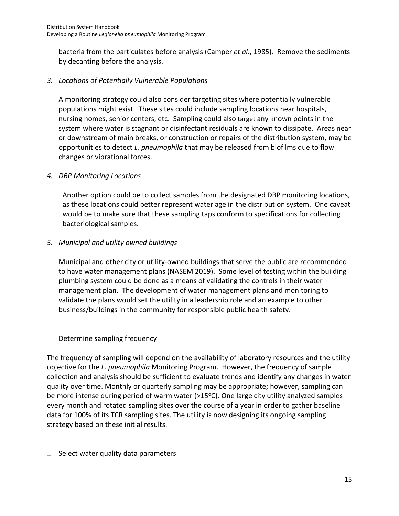bacteria from the particulates before analysis (Camper *et al*., 1985). Remove the sediments by decanting before the analysis.

## *3. Locations of Potentially Vulnerable Populations*

A monitoring strategy could also consider targeting sites where potentially vulnerable populations might exist. These sites could include sampling locations near hospitals, nursing homes, senior centers, etc. Sampling could also target any known points in the system where water is stagnant or disinfectant residuals are known to dissipate. Areas near or downstream of main breaks, or construction or repairs of the distribution system, may be opportunities to detect *L. pneumophila* that may be released from biofilms due to flow changes or vibrational forces.

## *4. DBP Monitoring Locations*

Another option could be to collect samples from the designated DBP monitoring locations, as these locations could better represent water age in the distribution system. One caveat would be to make sure that these sampling taps conform to specifications for collecting bacteriological samples.

## *5. Municipal and utility owned buildings*

Municipal and other city or utility-owned buildings that serve the public are recommended to have water management plans (NASEM 2019). Some level of testing within the building plumbing system could be done as a means of validating the controls in their water management plan. The development of water management plans and monitoring to validate the plans would set the utility in a leadership role and an example to other business/buildings in the community for responsible public health safety.

## $\Box$  Determine sampling frequency

The frequency of sampling will depend on the availability of laboratory resources and the utility objective for the *L. pneumophila* Monitoring Program. However, the frequency of sample collection and analysis should be sufficient to evaluate trends and identify any changes in water quality over time. Monthly or quarterly sampling may be appropriate; however, sampling can be more intense during period of warm water  $(>15^{\circ}C)$ . One large city utility analyzed samples every month and rotated sampling sites over the course of a year in order to gather baseline data for 100% of its TCR sampling sites. The utility is now designing its ongoing sampling strategy based on these initial results.

## $\Box$  Select water quality data parameters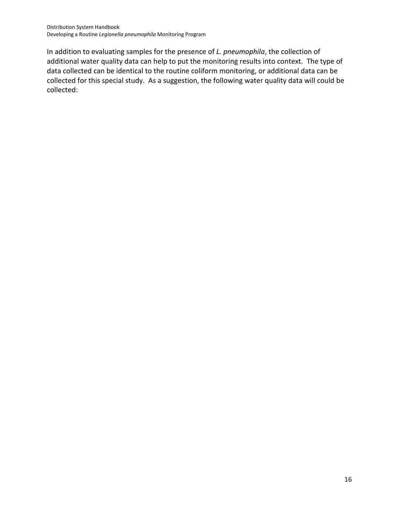In addition to evaluating samples for the presence of *L. pneumophila*, the collection of additional water quality data can help to put the monitoring results into context. The type of data collected can be identical to the routine coliform monitoring, or additional data can be collected for this special study. As a suggestion, the following water quality data will could be collected: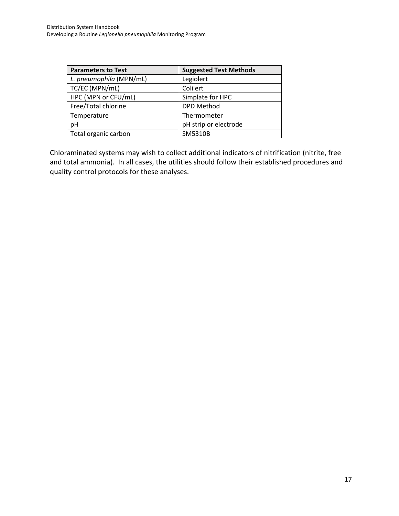| <b>Parameters to Test</b> | <b>Suggested Test Methods</b> |
|---------------------------|-------------------------------|
| L. pneumophila (MPN/mL)   | Legiolert                     |
| TC/EC (MPN/mL)            | Colilert                      |
| HPC (MPN or CFU/mL)       | Simplate for HPC              |
| Free/Total chlorine       | <b>DPD Method</b>             |
| Temperature               | Thermometer                   |
| pH                        | pH strip or electrode         |
| Total organic carbon      | SM5310B                       |

Chloraminated systems may wish to collect additional indicators of nitrification (nitrite, free and total ammonia). In all cases, the utilities should follow their established procedures and quality control protocols for these analyses.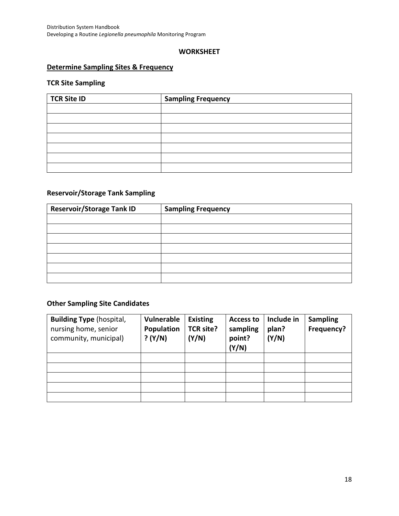#### **WORKSHEET**

### **Determine Sampling Sites & Frequency**

### **TCR Site Sampling**

| <b>TCR Site ID</b> | <b>Sampling Frequency</b> |
|--------------------|---------------------------|
|                    |                           |
|                    |                           |
|                    |                           |
|                    |                           |
|                    |                           |
|                    |                           |
|                    |                           |

## **Reservoir/Storage Tank Sampling**

| <b>Reservoir/Storage Tank ID</b> | <b>Sampling Frequency</b> |
|----------------------------------|---------------------------|
|                                  |                           |
|                                  |                           |
|                                  |                           |
|                                  |                           |
|                                  |                           |
|                                  |                           |
|                                  |                           |

## **Other Sampling Site Candidates**

| <b>Building Type (hospital,</b><br>nursing home, senior<br>community, municipal) | Vulnerable<br>Population<br>? (Y/N) | <b>Existing</b><br>TCR site?<br>(Y/N) | <b>Access to</b><br>sampling<br>point?<br>(Y/N) | Include in<br>plan?<br>(Y/N) | <b>Sampling</b><br>Frequency? |
|----------------------------------------------------------------------------------|-------------------------------------|---------------------------------------|-------------------------------------------------|------------------------------|-------------------------------|
|                                                                                  |                                     |                                       |                                                 |                              |                               |
|                                                                                  |                                     |                                       |                                                 |                              |                               |
|                                                                                  |                                     |                                       |                                                 |                              |                               |
|                                                                                  |                                     |                                       |                                                 |                              |                               |
|                                                                                  |                                     |                                       |                                                 |                              |                               |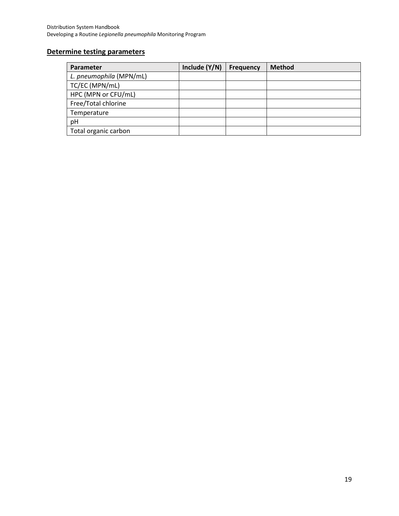## **Determine testing parameters**

| Parameter               | Include $(Y/N)$ | <b>Frequency</b> | <b>Method</b> |
|-------------------------|-----------------|------------------|---------------|
| L. pneumophila (MPN/mL) |                 |                  |               |
| TC/EC (MPN/mL)          |                 |                  |               |
| HPC (MPN or CFU/mL)     |                 |                  |               |
| Free/Total chlorine     |                 |                  |               |
| Temperature             |                 |                  |               |
| pH                      |                 |                  |               |
| Total organic carbon    |                 |                  |               |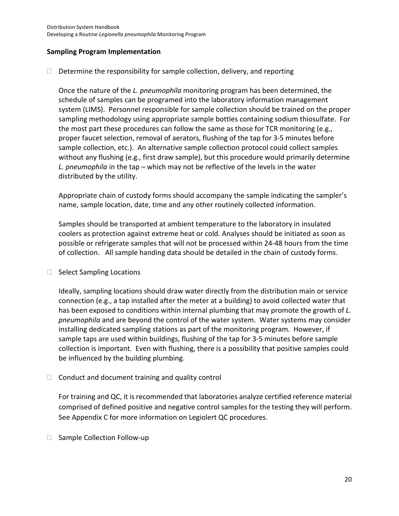### **Sampling Program Implementation**

 $\Box$  Determine the responsibility for sample collection, delivery, and reporting

Once the nature of the *L. pneumophila* monitoring program has been determined, the schedule of samples can be programed into the laboratory information management system (LIMS). Personnel responsible for sample collection should be trained on the proper sampling methodology using appropriate sample bottles containing sodium thiosulfate. For the most part these procedures can follow the same as those for TCR monitoring (e.g., proper faucet selection, removal of aerators, flushing of the tap for 3-5 minutes before sample collection, etc.). An alternative sample collection protocol could collect samples without any flushing (e.g., first draw sample), but this procedure would primarily determine *L. pneumophila* in the tap – which may not be reflective of the levels in the water distributed by the utility.

Appropriate chain of custody forms should accompany the sample indicating the sampler's name, sample location, date, time and any other routinely collected information.

Samples should be transported at ambient temperature to the laboratory in insulated coolers as protection against extreme heat or cold. Analyses should be initiated as soon as possible or refrigerate samples that will not be processed within 24-48 hours from the time of collection. All sample handing data should be detailed in the chain of custody forms.

### $\Box$  Select Sampling Locations

Ideally, sampling locations should draw water directly from the distribution main or service connection (e.g., a tap installed after the meter at a building) to avoid collected water that has been exposed to conditions within internal plumbing that may promote the growth of *L. pneumophila* and are beyond the control of the water system. Water systems may consider installing dedicated sampling stations as part of the monitoring program. However, if sample taps are used within buildings, flushing of the tap for 3-5 minutes before sample collection is important. Even with flushing, there is a possibility that positive samples could be influenced by the building plumbing.

 $\Box$  Conduct and document training and quality control

For training and QC, it is recommended that laboratories analyze certified reference material comprised of defined positive and negative control samples for the testing they will perform. See Appendix C for more information on Legiolert QC procedures.

□ Sample Collection Follow-up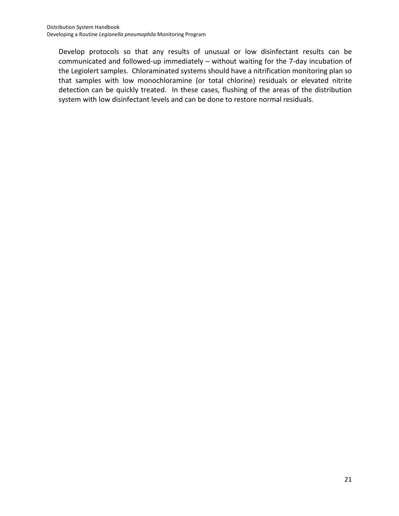Develop protocols so that any results of unusual or low disinfectant results can be communicated and followed-up immediately – without waiting for the 7-day incubation of the Legiolert samples. Chloraminated systems should have a nitrification monitoring plan so that samples with low monochloramine (or total chlorine) residuals or elevated nitrite detection can be quickly treated. In these cases, flushing of the areas of the distribution system with low disinfectant levels and can be done to restore normal residuals.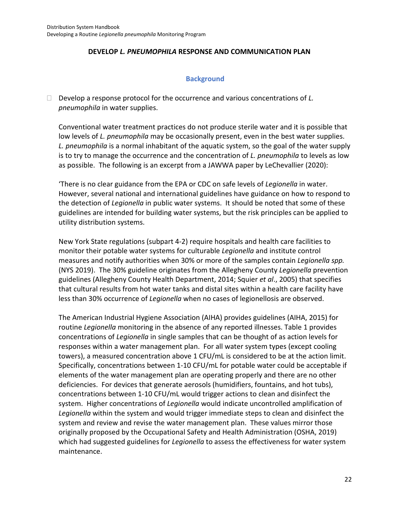### **DEVELOP** *L. PNEUMOPHILA* **RESPONSE AND COMMUNICATION PLAN**

### **Background**

 Develop a response protocol for the occurrence and various concentrations of *L. pneumophila* in water supplies.

Conventional water treatment practices do not produce sterile water and it is possible that low levels of *L. pneumophila* may be occasionally present, even in the best water supplies. *L. pneumophila* is a normal inhabitant of the aquatic system, so the goal of the water supply is to try to manage the occurrence and the concentration of *L. pneumophila* to levels as low as possible. The following is an excerpt from a JAWWA paper by LeChevallier (2020):

'There is no clear guidance from the EPA or CDC on safe levels of *Legionella* in water. However, several national and international guidelines have guidance on how to respond to the detection of *Legionella* in public water systems. It should be noted that some of these guidelines are intended for building water systems, but the risk principles can be applied to utility distribution systems.

New York State regulations (subpart 4-2) require hospitals and health care facilities to monitor their potable water systems for culturable *Legionella* and institute control measures and notify authorities when 30% or more of the samples contain *Legionella spp.* (NYS 2019). The 30% guideline originates from the Allegheny County *Legionella* prevention guidelines (Allegheny County Health Department, 2014; Squier *et al*., 2005) that specifies that cultural results from hot water tanks and distal sites within a health care facility have less than 30% occurrence of *Legionella* when no cases of legionellosis are observed.

The American Industrial Hygiene Association (AIHA) provides guidelines (AIHA, 2015) for routine *Legionella* monitoring in the absence of any reported illnesses. Table 1 provides concentrations of *Legionella* in single samples that can be thought of as action levels for responses within a water management plan. For all water system types (except cooling towers), a measured concentration above 1 CFU/mL is considered to be at the action limit. Specifically, concentrations between 1-10 CFU/mL for potable water could be acceptable if elements of the water management plan are operating properly and there are no other deficiencies. For devices that generate aerosols (humidifiers, fountains, and hot tubs), concentrations between 1-10 CFU/mL would trigger actions to clean and disinfect the system. Higher concentrations of *Legionella* would indicate uncontrolled amplification of *Legionella* within the system and would trigger immediate steps to clean and disinfect the system and review and revise the water management plan. These values mirror those originally proposed by the Occupational Safety and Health Administration (OSHA, 2019) which had suggested guidelines for *Legionella* to assess the effectiveness for water system maintenance.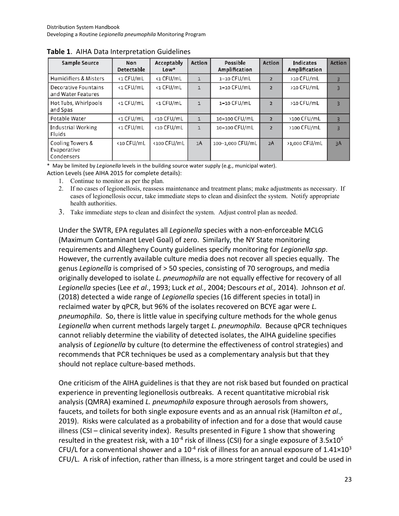| Sample Source                                 | <b>Non</b><br><b>Detectable</b> | Acceptably<br>$Low*$ | <b>Action</b> | Possible<br>Amplification | <b>Action</b>  | <b>Indicates</b><br>Amplification | <b>Action</b> |
|-----------------------------------------------|---------------------------------|----------------------|---------------|---------------------------|----------------|-----------------------------------|---------------|
| <b>Humidifiers &amp; Misters</b>              | <1 CFU/mL                       | <1 CFU/mL            |               | 1-10 CFU/mL               | $\overline{2}$ | >10 CFU/mL                        | 3             |
| Decorative Fountains<br>and Water Features    | <1 CFU/mL                       | <1 CFU/mL            | $\mathbf{1}$  | 1-10 CFU/mL               | $\overline{2}$ | >10 CFU/mL                        | 3             |
| Hot Tubs, Whirlpools<br>and Spas              | <1 CFU/mL                       | <1 CFU/mL            | $\mathbf{1}$  | 1-10 CFU/mL               | $\overline{2}$ | >10 CFU/mL                        | ₹             |
| Potable Water                                 | <1 CFU/mL                       | <10 CFU/mL           | $\mathbf{1}$  | 10-100 CFU/mL             | $\overline{2}$ | >100 CFU/mL                       | 3             |
| Industrial Working<br>Fluids                  | <1 CFU/mL                       | <10 CFU/mL           | $\mathbf{1}$  | 10-100 CFU/mL             | $\overline{2}$ | >100 CFU/mL                       | 3             |
| Cooling Towers &<br>Evaporative<br>Condensers | <10 CFU/mL                      | <100 CFU/mL          | 1A            | 100-1,000 CFU/mL          | 2A             | >1,000 CFU/mL                     | 3A            |

**Table 1**. AIHA Data Interpretation Guidelines

\* May be limited by *Legionella* levels in the building source water supply (e.g., municipal water).

Action Levels (see AIHA 2015 for complete details):

- 1. Continue to monitor as per the plan.
- 2. If no cases of legionellosis, reassess maintenance and treatment plans; make adjustments as necessary. If cases of legionellosis occur, take immediate steps to clean and disinfect the system. Notify appropriate health authorities.
- 3. Take immediate steps to clean and disinfect the system. Adjust control plan as needed.

Under the SWTR, EPA regulates all *Legionella* species with a non-enforceable MCLG (Maximum Contaminant Level Goal) of zero. Similarly, the NY State monitoring requirements and Allegheny County guidelines specify monitoring for *Legionella spp*. However, the currently available culture media does not recover all species equally. The genus *Legionella* is comprised of > 50 species, consisting of 70 serogroups, and media originally developed to isolate *L. pneumophila* are not equally effective for recovery of all *Legionella* species (Lee *et al*., 1993; Luck *et al.*, 2004; Descours *et al.,* 2014). Johnson *et al*. (2018) detected a wide range of *Legionella* species (16 different species in total) in reclaimed water by qPCR, but 96% of the isolates recovered on BCYE agar were *L. pneumophila*. So, there is little value in specifying culture methods for the whole genus *Legionella* when current methods largely target *L. pneumophila*. Because qPCR techniques cannot reliably determine the viability of detected isolates, the AIHA guideline specifies analysis of *Legionella* by culture (to determine the effectiveness of control strategies) and recommends that PCR techniques be used as a complementary analysis but that they should not replace culture-based methods.

One criticism of the AIHA guidelines is that they are not risk based but founded on practical experience in preventing legionellosis outbreaks. A recent quantitative microbial risk analysis (QMRA) examined *L. pneumophila* exposure through aerosols from showers, faucets, and toilets for both single exposure events and as an annual risk (Hamilton *et al*., 2019). Risks were calculated as a probability of infection and for a dose that would cause illness (CSI – clinical severity index). Results presented in Figure 1 show that showering resulted in the greatest risk, with a  $10^{-4}$  risk of illness (CSI) for a single exposure of 3.5x10<sup>5</sup> CFU/L for a conventional shower and a  $10^{-4}$  risk of illness for an annual exposure of  $1.41 \times 10^{3}$ CFU/L. A risk of infection, rather than illness, is a more stringent target and could be used in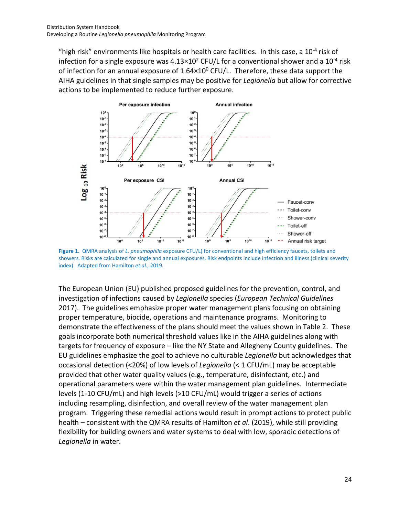"high risk" environments like hospitals or health care facilities. In this case, a  $10^{-4}$  risk of infection for a single exposure was  $4.13 \times 10^2$  CFU/L for a conventional shower and a 10<sup>-4</sup> risk of infection for an annual exposure of  $1.64\times10^{0}$  CFU/L. Therefore, these data support the AIHA guidelines in that single samples may be positive for *Legionella* but allow for corrective actions to be implemented to reduce further exposure.



**Figure 1.** QMRA analysis of *L. pneumophila* exposure CFU/L) for conventional and high efficiency faucets, toilets and showers. Risks are calculated for single and annual exposures. Risk endpoints include infection and illness (clinical severity index). Adapted from Hamilton *et al*., 2019.

The European Union (EU) published proposed guidelines for the prevention, control, and investigation of infections caused by *Legionella* species (*European Technical Guidelines* 2017). The guidelines emphasize proper water management plans focusing on obtaining proper temperature, biocide, operations and maintenance programs. Monitoring to demonstrate the effectiveness of the plans should meet the values shown in Table 2. These goals incorporate both numerical threshold values like in the AIHA guidelines along with targets for frequency of exposure – like the NY State and Allegheny County guidelines. The EU guidelines emphasize the goal to achieve no culturable *Legionella* but acknowledges that occasional detection (<20%) of low levels of *Legionella* (< 1 CFU/mL) may be acceptable provided that other water quality values (e.g., temperature, disinfectant, etc.) and operational parameters were within the water management plan guidelines. Intermediate levels (1-10 CFU/mL) and high levels (>10 CFU/mL) would trigger a series of actions including resampling, disinfection, and overall review of the water management plan program. Triggering these remedial actions would result in prompt actions to protect public health – consistent with the QMRA results of Hamilton *et al*. (2019), while still providing flexibility for building owners and water systems to deal with low, sporadic detections of *Legionella* in water.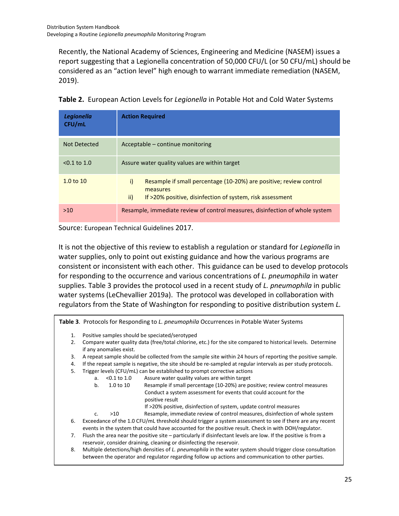Recently, the National Academy of Sciences, Engineering and Medicine (NASEM) issues a report suggesting that a Legionella concentration of 50,000 CFU/L (or 50 CFU/mL) should be considered as an "action level" high enough to warrant immediate remediation (NASEM, 2019).

| Legionella<br>CFU/mL | <b>Action Required</b>                                                                                                                                   |
|----------------------|----------------------------------------------------------------------------------------------------------------------------------------------------------|
| Not Detected         | Acceptable – continue monitoring                                                                                                                         |
| $< 0.1$ to 1.0       | Assure water quality values are within target                                                                                                            |
| 1.0 to 10            | i)<br>Resample if small percentage (10-20%) are positive; review control<br>measures<br>ii)<br>If >20% positive, disinfection of system, risk assessment |
| >10                  | Resample, immediate review of control measures, disinfection of whole system                                                                             |

| Table 2. European Action Levels for Legionella in Potable Hot and Cold Water Systems |  |
|--------------------------------------------------------------------------------------|--|
|--------------------------------------------------------------------------------------|--|

Source: European Technical Guidelines 2017.

It is not the objective of this review to establish a regulation or standard for *Legionella* in water supplies, only to point out existing guidance and how the various programs are consistent or inconsistent with each other. This guidance can be used to develop protocols for responding to the occurrence and various concentrations of *L. pneumophila* in water supplies. Table 3 provides the protocol used in a recent study of *L. pneumophila* in public water systems (LeChevallier 2019a). The protocol was developed in collaboration with regulators from the State of Washington for responding to positive distribution system *L.* 

**Table 3**. Protocols for Responding to *L. pneumophila* Occurrences in Potable Water Systems

- 1. Positive samples should be speciated/serotyped
- 2. Compare water quality data (free/total chlorine, etc.) for the site compared to historical levels. Determine if any anomalies exist.
- 3. A repeat sample should be collected from the sample site within 24 hours of reporting the positive sample.
- 4. If the repeat sample is negative, the site should be re-sampled at regular intervals as per study protocols.
- 5. Trigger levels (CFU/mL) can be established to prompt corrective actions
	- a. <0.1 to 1.0 Assure water quality values are within target
	- b. 1.0 to 10 Resample if small percentage (10-20%) are positive; review control measures Conduct a system assessment for events that could account for the positive result
		- If >20% positive, disinfection of system, update control measures
	- c. >10 Resample, immediate review of control measures, disinfection of whole system
- 6. Exceedance of the 1.0 CFU/mL threshold should trigger a system assessment to see if there are any recent events in the system that could have accounted for the positive result. Check in with DOH/regulator.
- 7. Flush the area near the positive site particularly if disinfectant levels are low. If the positive is from a reservoir, consider draining, cleaning or disinfecting the reservoir.
- 8. Multiple detections/high densities of *L. pneumophila* in the water system should trigger close consultation between the operator and regulator regarding follow up actions and communication to other parties.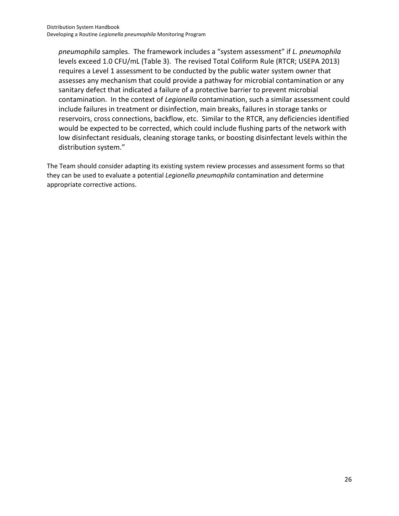*pneumophila* samples. The framework includes a "system assessment" if *L. pneumophila* levels exceed 1.0 CFU/mL (Table 3). The revised Total Coliform Rule (RTCR; USEPA 2013) requires a Level 1 assessment to be conducted by the public water system owner that assesses any mechanism that could provide a pathway for microbial contamination or any sanitary defect that indicated a failure of a protective barrier to prevent microbial contamination. In the context of *Legionella* contamination, such a similar assessment could include failures in treatment or disinfection, main breaks, failures in storage tanks or reservoirs, cross connections, backflow, etc. Similar to the RTCR, any deficiencies identified would be expected to be corrected, which could include flushing parts of the network with low disinfectant residuals, cleaning storage tanks, or boosting disinfectant levels within the distribution system."

The Team should consider adapting its existing system review processes and assessment forms so that they can be used to evaluate a potential *Legionella pneumophila* contamination and determine appropriate corrective actions.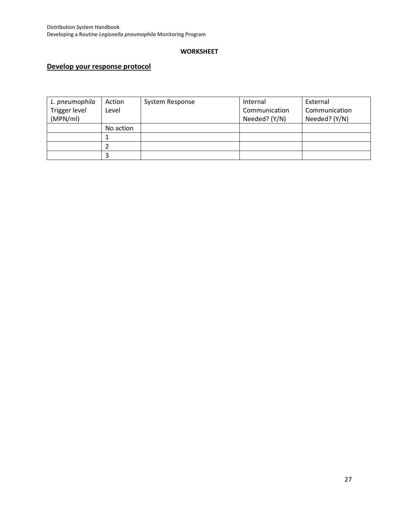### **WORKSHEET**

## **Develop your response protocol**

| L. pneumophila | Action    | System Response | Internal      | External      |
|----------------|-----------|-----------------|---------------|---------------|
| Trigger level  | Level     |                 | Communication | Communication |
| (MPN/ml)       |           |                 | Needed? (Y/N) | Needed? (Y/N) |
|                | No action |                 |               |               |
|                |           |                 |               |               |
|                |           |                 |               |               |
|                |           |                 |               |               |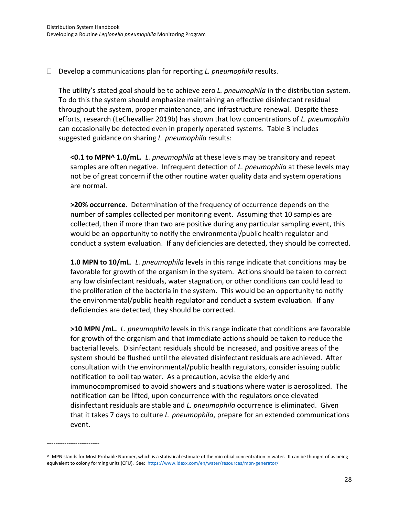Develop a communications plan for reporting *L. pneumophila* results.

The utility's stated goal should be to achieve zero *L. pneumophila* in the distribution system. To do this the system should emphasize maintaining an effective disinfectant residual throughout the system, proper maintenance, and infrastructure renewal. Despite these efforts, research (LeChevallier 2019b) has shown that low concentrations of *L. pneumophila* can occasionally be detected even in properly operated systems. Table 3 includes suggested guidance on sharing *L. pneumophila* results:

**<0.1 to MPN^ 1.0/mL.** *L. pneumophila* at these levels may be transitory and repeat samples are often negative. Infrequent detection of *L. pneumophila* at these levels may not be of great concern if the other routine water quality data and system operations are normal.

**>20% occurrence**. Determination of the frequency of occurrence depends on the number of samples collected per monitoring event. Assuming that 10 samples are collected, then if more than two are positive during any particular sampling event, this would be an opportunity to notify the environmental/public health regulator and conduct a system evaluation. If any deficiencies are detected, they should be corrected.

**1.0 MPN to 10/mL**. *L. pneumophila* levels in this range indicate that conditions may be favorable for growth of the organism in the system. Actions should be taken to correct any low disinfectant residuals, water stagnation, or other conditions can could lead to the proliferation of the bacteria in the system. This would be an opportunity to notify the environmental/public health regulator and conduct a system evaluation. If any deficiencies are detected, they should be corrected.

**>10 MPN /mL.** *L. pneumophila* levels in this range indicate that conditions are favorable for growth of the organism and that immediate actions should be taken to reduce the bacterial levels. Disinfectant residuals should be increased, and positive areas of the system should be flushed until the elevated disinfectant residuals are achieved. After consultation with the environmental/public health regulators, consider issuing public notification to boil tap water. As a precaution, advise the elderly and immunocompromised to avoid showers and situations where water is aerosolized. The notification can be lifted, upon concurrence with the regulators once elevated disinfectant residuals are stable and *L. pneumophila* occurrence is eliminated. Given that it takes 7 days to culture *L. pneumophila*, prepare for an extended communications event.

------------------------

<sup>^</sup> MPN stands for Most Probable Number, which is a statistical estimate of the microbial concentration in water. It can be thought of as being equivalent to colony forming units (CFU). See:<https://www.idexx.com/en/water/resources/mpn-generator/>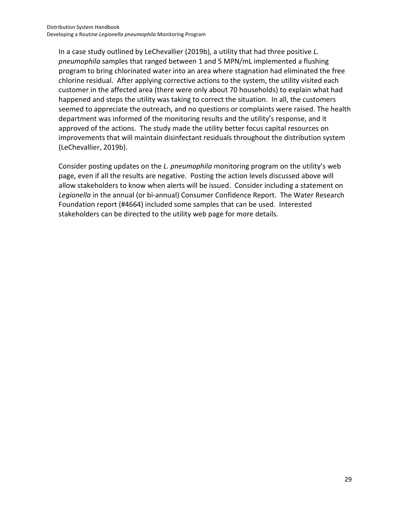In a case study outlined by LeChevallier (2019b), a utility that had three positive *L. pneumophila* samples that ranged between 1 and 5 MPN/mL implemented a flushing program to bring chlorinated water into an area where stagnation had eliminated the free chlorine residual. After applying corrective actions to the system, the utility visited each customer in the affected area (there were only about 70 households) to explain what had happened and steps the utility was taking to correct the situation. In all, the customers seemed to appreciate the outreach, and no questions or complaints were raised. The health department was informed of the monitoring results and the utility's response, and it approved of the actions. The study made the utility better focus capital resources on improvements that will maintain disinfectant residuals throughout the distribution system (LeChevallier, 2019b).

Consider posting updates on the *L. pneumophila* monitoring program on the utility's web page, even if all the results are negative. Posting the action levels discussed above will allow stakeholders to know when alerts will be issued. Consider including a statement on *Legionella* in the annual (or bi-annual) Consumer Confidence Report. The Water Research Foundation report (#4664) included some samples that can be used. Interested stakeholders can be directed to the utility web page for more details.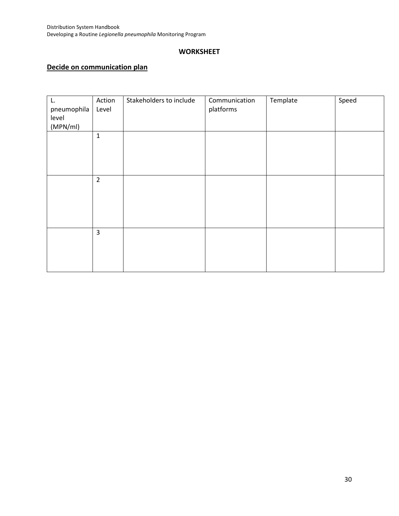## **WORKSHEET**

## **Decide on communication plan**

| L.<br>pneumophila | Action<br>Level         | Stakeholders to include | Communication<br>platforms | Template | Speed |
|-------------------|-------------------------|-------------------------|----------------------------|----------|-------|
| level             |                         |                         |                            |          |       |
| (MPN/ml)          |                         |                         |                            |          |       |
|                   | $\mathbf{1}$            |                         |                            |          |       |
|                   |                         |                         |                            |          |       |
|                   |                         |                         |                            |          |       |
|                   |                         |                         |                            |          |       |
|                   |                         |                         |                            |          |       |
|                   | $\overline{2}$          |                         |                            |          |       |
|                   |                         |                         |                            |          |       |
|                   |                         |                         |                            |          |       |
|                   |                         |                         |                            |          |       |
|                   |                         |                         |                            |          |       |
|                   |                         |                         |                            |          |       |
|                   | $\overline{\mathbf{3}}$ |                         |                            |          |       |
|                   |                         |                         |                            |          |       |
|                   |                         |                         |                            |          |       |
|                   |                         |                         |                            |          |       |
|                   |                         |                         |                            |          |       |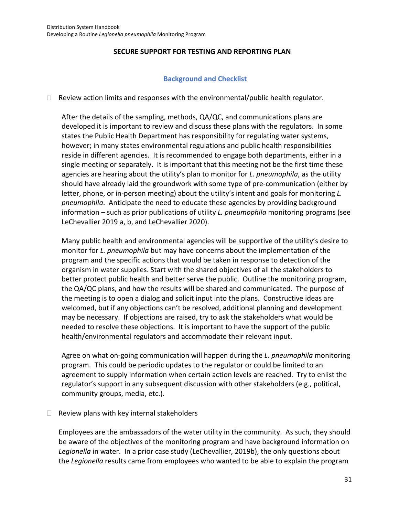### **SECURE SUPPORT FOR TESTING AND REPORTING PLAN**

### **Background and Checklist**

 $\Box$  Review action limits and responses with the environmental/public health regulator.

After the details of the sampling, methods, QA/QC, and communications plans are developed it is important to review and discuss these plans with the regulators. In some states the Public Health Department has responsibility for regulating water systems, however; in many states environmental regulations and public health responsibilities reside in different agencies. It is recommended to engage both departments, either in a single meeting or separately. It is important that this meeting not be the first time these agencies are hearing about the utility's plan to monitor for *L. pneumophila*, as the utility should have already laid the groundwork with some type of pre-communication (either by letter, phone, or in-person meeting) about the utility's intent and goals for monitoring *L. pneumophila*. Anticipate the need to educate these agencies by providing background information – such as prior publications of utility *L. pneumophila* monitoring programs (see LeChevallier 2019 a, b, and LeChevallier 2020).

Many public health and environmental agencies will be supportive of the utility's desire to monitor for *L. pneumophila* but may have concerns about the implementation of the program and the specific actions that would be taken in response to detection of the organism in water supplies. Start with the shared objectives of all the stakeholders to better protect public health and better serve the public. Outline the monitoring program, the QA/QC plans, and how the results will be shared and communicated. The purpose of the meeting is to open a dialog and solicit input into the plans. Constructive ideas are welcomed, but if any objections can't be resolved, additional planning and development may be necessary. If objections are raised, try to ask the stakeholders what would be needed to resolve these objections. It is important to have the support of the public health/environmental regulators and accommodate their relevant input.

Agree on what on-going communication will happen during the *L. pneumophila* monitoring program. This could be periodic updates to the regulator or could be limited to an agreement to supply information when certain action levels are reached. Try to enlist the regulator's support in any subsequent discussion with other stakeholders (e.g., political, community groups, media, etc.).

 $\Box$  Review plans with key internal stakeholders

Employees are the ambassadors of the water utility in the community. As such, they should be aware of the objectives of the monitoring program and have background information on *Legionella* in water. In a prior case study (LeChevallier, 2019b), the only questions about the *Legionella* results came from employees who wanted to be able to explain the program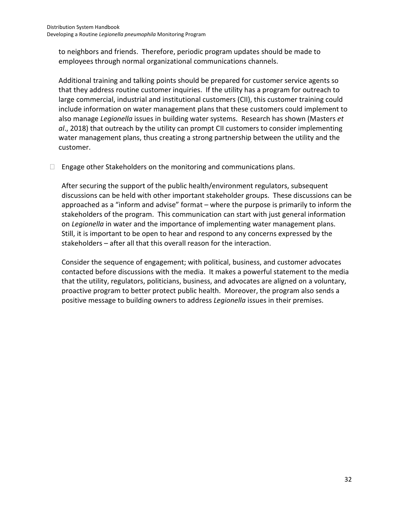to neighbors and friends. Therefore, periodic program updates should be made to employees through normal organizational communications channels.

Additional training and talking points should be prepared for customer service agents so that they address routine customer inquiries. If the utility has a program for outreach to large commercial, industrial and institutional customers (CII), this customer training could include information on water management plans that these customers could implement to also manage *Legionella* issues in building water systems. Research has shown (Masters *et al*., 2018) that outreach by the utility can prompt CII customers to consider implementing water management plans, thus creating a strong partnership between the utility and the customer.

 $\Box$  Engage other Stakeholders on the monitoring and communications plans.

After securing the support of the public health/environment regulators, subsequent discussions can be held with other important stakeholder groups. These discussions can be approached as a "inform and advise" format – where the purpose is primarily to inform the stakeholders of the program. This communication can start with just general information on *Legionella* in water and the importance of implementing water management plans. Still, it is important to be open to hear and respond to any concerns expressed by the stakeholders – after all that this overall reason for the interaction.

Consider the sequence of engagement; with political, business, and customer advocates contacted before discussions with the media. It makes a powerful statement to the media that the utility, regulators, politicians, business, and advocates are aligned on a voluntary, proactive program to better protect public health. Moreover, the program also sends a positive message to building owners to address *Legionella* issues in their premises.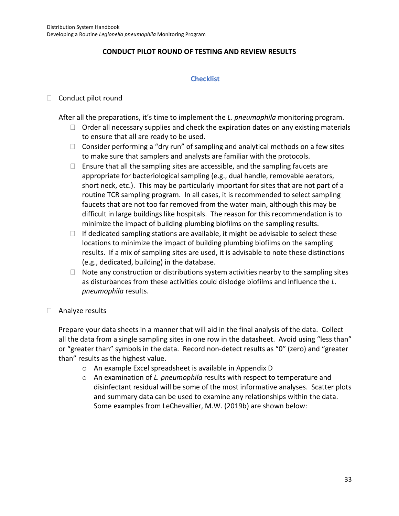## **CONDUCT PILOT ROUND OF TESTING AND REVIEW RESULTS**

### **Checklist**

### $\Box$  Conduct pilot round

After all the preparations, it's time to implement the *L. pneumophila* monitoring program.

- $\Box$  Order all necessary supplies and check the expiration dates on any existing materials to ensure that all are ready to be used.
- $\Box$  Consider performing a "dry run" of sampling and analytical methods on a few sites to make sure that samplers and analysts are familiar with the protocols.
- $\Box$  Ensure that all the sampling sites are accessible, and the sampling faucets are appropriate for bacteriological sampling (e.g., dual handle, removable aerators, short neck, etc.). This may be particularly important for sites that are not part of a routine TCR sampling program. In all cases, it is recommended to select sampling faucets that are not too far removed from the water main, although this may be difficult in large buildings like hospitals. The reason for this recommendation is to minimize the impact of building plumbing biofilms on the sampling results.
- $\Box$  If dedicated sampling stations are available, it might be advisable to select these locations to minimize the impact of building plumbing biofilms on the sampling results. If a mix of sampling sites are used, it is advisable to note these distinctions (e.g., dedicated, building) in the database.
- $\Box$  Note any construction or distributions system activities nearby to the sampling sites as disturbances from these activities could dislodge biofilms and influence the *L. pneumophila* results.
- □ Analyze results

Prepare your data sheets in a manner that will aid in the final analysis of the data. Collect all the data from a single sampling sites in one row in the datasheet. Avoid using "less than" or "greater than" symbols in the data. Record non-detect results as "0" (zero) and "greater than" results as the highest value.

- o An example Excel spreadsheet is available in Appendix D
- o An examination of *L. pneumophila* results with respect to temperature and disinfectant residual will be some of the most informative analyses. Scatter plots and summary data can be used to examine any relationships within the data. Some examples from LeChevallier, M.W. (2019b) are shown below: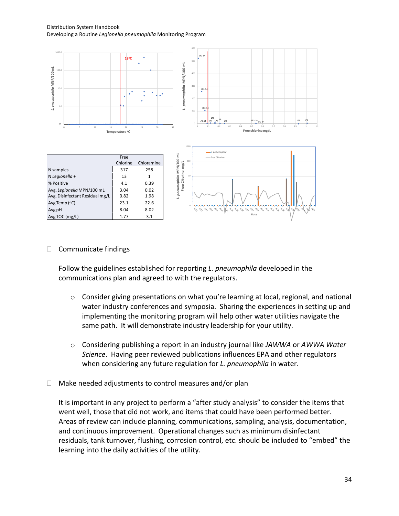Distribution System Handbook Developing a Routine *Legionella pneumophila* Monitoring Program



#### $\Box$  Communicate findings

Follow the guidelines established for reporting *L. pneumophila* developed in the communications plan and agreed to with the regulators.

- o Consider giving presentations on what you're learning at local, regional, and national water industry conferences and symposia. Sharing the experiences in setting up and implementing the monitoring program will help other water utilities navigate the same path. It will demonstrate industry leadership for your utility.
- o Considering publishing a report in an industry journal like *JAWWA* or *AWWA Water Science*. Having peer reviewed publications influences EPA and other regulators when considering any future regulation for *L. pneumophila* in water.
- $\Box$  Make needed adjustments to control measures and/or plan

It is important in any project to perform a "after study analysis" to consider the items that went well, those that did not work, and items that could have been performed better. Areas of review can include planning, communications, sampling, analysis, documentation, and continuous improvement. Operational changes such as minimum disinfectant residuals, tank turnover, flushing, corrosion control, etc. should be included to "embed" the learning into the daily activities of the utility.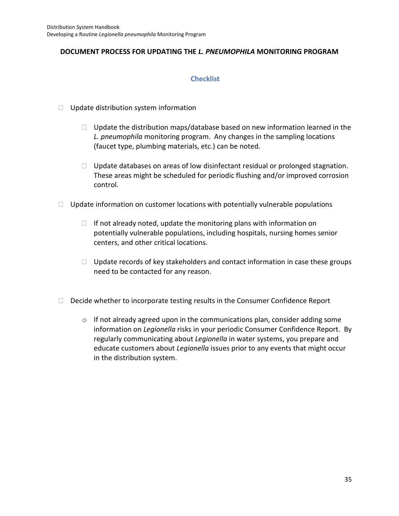## **DOCUMENT PROCESS FOR UPDATING THE** *L. PNEUMOPHILA* **MONITORING PROGRAM**

### **Checklist**

- $\Box$  Update distribution system information
	- $\Box$  Update the distribution maps/database based on new information learned in the *L. pneumophila* monitoring program. Any changes in the sampling locations (faucet type, plumbing materials, etc.) can be noted.
	- $\Box$  Update databases on areas of low disinfectant residual or prolonged stagnation. These areas might be scheduled for periodic flushing and/or improved corrosion control.
- $\Box$  Update information on customer locations with potentially vulnerable populations
	- $\Box$  If not already noted, update the monitoring plans with information on potentially vulnerable populations, including hospitals, nursing homes senior centers, and other critical locations.
	- $\Box$  Update records of key stakeholders and contact information in case these groups need to be contacted for any reason.
- $\Box$  Decide whether to incorporate testing results in the Consumer Confidence Report
	- $\circ$  If not already agreed upon in the communications plan, consider adding some information on *Legionella* risks in your periodic Consumer Confidence Report. By regularly communicating about *Legionella* in water systems, you prepare and educate customers about *Legionella* issues prior to any events that might occur in the distribution system.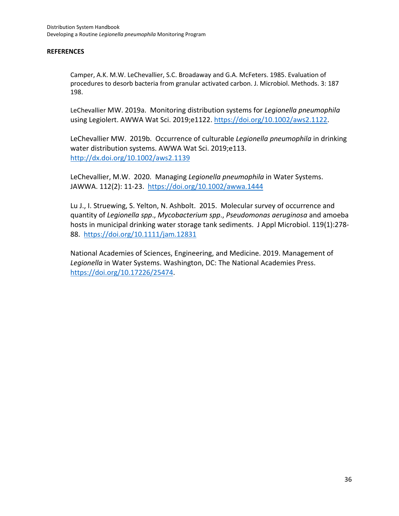#### **REFERENCES**

Camper, A.K. M.W. LeChevallier, S.C. Broadaway and G.A. McFeters. 1985. Evaluation of procedures to desorb bacteria from granular activated carbon. J. Microbiol. Methods. 3: 187 198.

LeChevallier MW. 2019a. Monitoring distribution systems for *Legionella pneumophila* using Legiolert. AWWA Wat Sci. 2019;e1122[. https://doi.org/10.1002/aws2.1122.](https://doi.org/10.1002/aws2.1122)

LeChevallier MW. 2019b. Occurrence of culturable *Legionella pneumophila* in drinking water distribution systems. AWWA Wat Sci. 2019;e113. <http://dx.doi.org/10.1002/aws2.1139>

LeChevallier, M.W. 2020. Managing *Legionella pneumophila* in Water Systems. JAWWA. 112(2): 11-23. <https://doi.org/10.1002/awwa.1444>

Lu J., I. Struewing, S. Yelton, N. Ashbolt. 2015. Molecular survey of occurrence and quantity of *Legionella spp*., *Mycobacterium spp*., *Pseudomonas aeruginosa* and amoeba hosts in municipal drinking water storage tank sediments. J Appl Microbiol. 119(1):278- 88. <https://doi.org/10.1111/jam.12831>

National Academies of Sciences, Engineering, and Medicine. 2019. Management of *Legionella* in Water Systems. Washington, DC: The National Academies Press. [https://doi.org/10.17226/25474.](https://doi.org/10.17226/25474)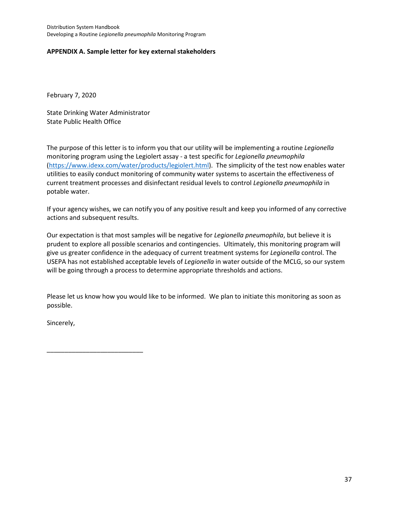#### **APPENDIX A. Sample letter for key external stakeholders**

February 7, 2020

State Drinking Water Administrator State Public Health Office

The purpose of this letter is to inform you that our utility will be implementing a routine *Legionella*  monitoring program using the Legiolert assay - a test specific for *Legionella pneumophila* [\(https://www.idexx.com/water/products/legiolert.html\)](https://www.idexx.com/water/products/legiolert.html). The simplicity of the test now enables water utilities to easily conduct monitoring of community water systems to ascertain the effectiveness of current treatment processes and disinfectant residual levels to control *Legionella pneumophila* in potable water.

If your agency wishes, we can notify you of any positive result and keep you informed of any corrective actions and subsequent results.

Our expectation is that most samples will be negative for *Legionella pneumophila*, but believe it is prudent to explore all possible scenarios and contingencies. Ultimately, this monitoring program will give us greater confidence in the adequacy of current treatment systems for *Legionella* control. The USEPA has not established acceptable levels of *Legionella* in water outside of the MCLG, so our system will be going through a process to determine appropriate thresholds and actions.

Please let us know how you would like to be informed. We plan to initiate this monitoring as soon as possible.

Sincerely,

\_\_\_\_\_\_\_\_\_\_\_\_\_\_\_\_\_\_\_\_\_\_\_\_\_\_\_

37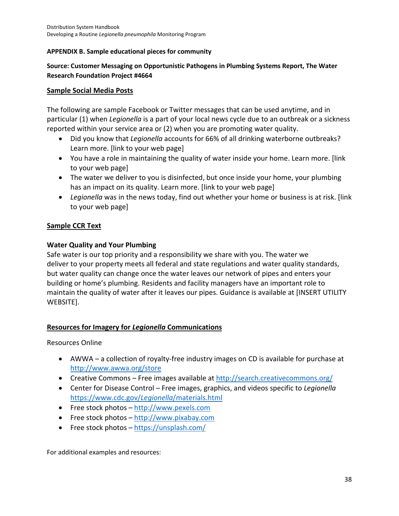### **APPENDIX B. Sample educational pieces for community**

### **Source: Customer Messaging on Opportunistic Pathogens in Plumbing Systems Report, The Water Research Foundation Project #4664**

### **Sample Social Media Posts**

The following are sample Facebook or Twitter messages that can be used anytime, and in particular (1) when *Legionella* is a part of your local news cycle due to an outbreak or a sickness reported within your service area or (2) when you are promoting water quality.

- Did you know that *Legionella* accounts for 66% of all drinking waterborne outbreaks? Learn more. [link to your web page]
- You have a role in maintaining the quality of water inside your home. Learn more. [link to your web page]
- The water we deliver to you is disinfected, but once inside your home, your plumbing has an impact on its quality. Learn more. [link to your web page]
- *Legionella* was in the news today, find out whether your home or business is at risk. [link to your web page]

### **Sample CCR Text**

### **Water Quality and Your Plumbing**

Safe water is our top priority and a responsibility we share with you. The water we deliver to your property meets all federal and state regulations and water quality standards, but water quality can change once the water leaves our network of pipes and enters your building or home's plumbing. Residents and facility managers have an important role to maintain the quality of water after it leaves our pipes. Guidance is available at [INSERT UTILITY WEBSITE].

## **Resources for Imagery for** *Legionella* **Communications**

Resources Online

- AWWA a collection of royalty-free industry images on CD is available for purchase at <http://www.awwa.org/store>
- Creative Commons Free images available a[t http://search.creativecommons.org/](http://search.creativecommons.org/)
- Center for Disease Control Free images, graphics, and videos specific to *Legionella*  [https://www.cdc.gov/](https://www.cdc.gov/Legionella/materials.html)*Legionella*/materials.html
- Free stock photos [http://www.pexels.com](http://www.pexels.com/)
- Free stock photos [http://www.pixabay.com](http://www.pixabay.com/)
- Free stock photos <https://unsplash.com/>

For additional examples and resources: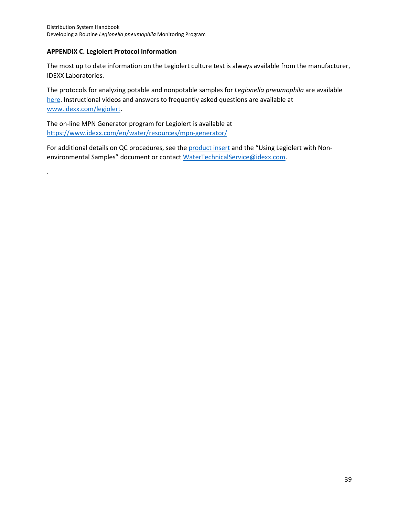#### **APPENDIX C. Legiolert Protocol Information**

.

The most up to date information on the Legiolert culture test is always available from the manufacturer, IDEXX Laboratories.

The protocols for analyzing potable and nonpotable samples for *Legionella pneumophila* are available [here.](https://www.idexx.com/files/legiolert-procedure-insert.pdf) Instructional videos and answers to frequently asked questions are available at [www.idexx.com/legiolert.](http://www.idexx.com/legiolert)

The on-line MPN Generator program for Legiolert is available at <https://www.idexx.com/en/water/resources/mpn-generator/>

For additional details on QC procedures, see th[e product insert](https://www.idexx.com/files/legiolert-procedure-insert.pdf) and the "Using Legiolert with Nonenvironmental Samples" document or contact [WaterTechnicalService@idexx.com.](mailto:WaterTechnicalService@idexx.com)